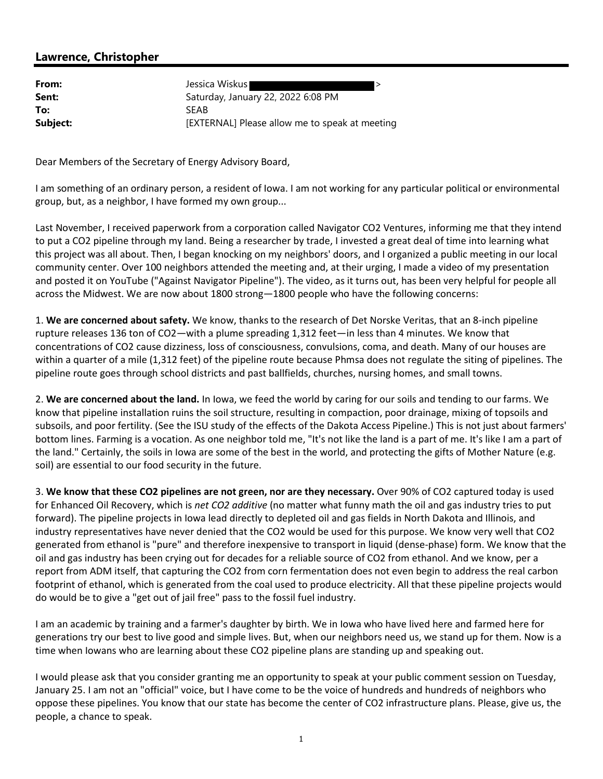## **Lawrence, Christopher**

| From:    | Jessica Wiskus∥                                |
|----------|------------------------------------------------|
| Sent:    | Saturday, January 22, 2022 6:08 PM             |
| To:      | <b>SFAB</b>                                    |
| Subject: | [EXTERNAL] Please allow me to speak at meeting |

Dear Members of the Secretary of Energy Advisory Board,

I am something of an ordinary person, a resident of Iowa. I am not working for any particular political or environmental group, but, as a neighbor, I have formed my own group...

Last November, I received paperwork from a corporation called Navigator CO2 Ventures, informing me that they intend to put a CO2 pipeline through my land. Being a researcher by trade, I invested a great deal of time into learning what this project was all about. Then, I began knocking on my neighbors' doors, and I organized a public meeting in our local community center. Over 100 neighbors attended the meeting and, at their urging, I made a video of my presentation and posted it on YouTube ("Against Navigator Pipeline"). The video, as it turns out, has been very helpful for people all across the Midwest. We are now about 1800 strong—1800 people who have the following concerns:

1. **We are concerned about safety.** We know, thanks to the research of Det Norske Veritas, that an 8-inch pipeline rupture releases 136 ton of CO2—with a plume spreading 1,312 feet—in less than 4 minutes. We know that concentrations of CO2 cause dizziness, loss of consciousness, convulsions, coma, and death. Many of our houses are within a quarter of a mile (1,312 feet) of the pipeline route because Phmsa does not regulate the siting of pipelines. The pipeline route goes through school districts and past ballfields, churches, nursing homes, and small towns.

2. **We are concerned about the land.** In Iowa, we feed the world by caring for our soils and tending to our farms. We know that pipeline installation ruins the soil structure, resulting in compaction, poor drainage, mixing of topsoils and subsoils, and poor fertility. (See the ISU study of the effects of the Dakota Access Pipeline.) This is not just about farmers' bottom lines. Farming is a vocation. As one neighbor told me, "It's not like the land is a part of me. It's like I am a part of the land." Certainly, the soils in Iowa are some of the best in the world, and protecting the gifts of Mother Nature (e.g. soil) are essential to our food security in the future.

3. **We know that these CO2 pipelines are not green, nor are they necessary.** Over 90% of CO2 captured today is used for Enhanced Oil Recovery, which is *net CO2 additive* (no matter what funny math the oil and gas industry tries to put forward). The pipeline projects in Iowa lead directly to depleted oil and gas fields in North Dakota and Illinois, and industry representatives have never denied that the CO2 would be used for this purpose. We know very well that CO2 generated from ethanol is "pure" and therefore inexpensive to transport in liquid (dense-phase) form. We know that the oil and gas industry has been crying out for decades for a reliable source of CO2 from ethanol. And we know, per a report from ADM itself, that capturing the CO2 from corn fermentation does not even begin to address the real carbon footprint of ethanol, which is generated from the coal used to produce electricity. All that these pipeline projects would do would be to give a "get out of jail free" pass to the fossil fuel industry.

I am an academic by training and a farmer's daughter by birth. We in Iowa who have lived here and farmed here for generations try our best to live good and simple lives. But, when our neighbors need us, we stand up for them. Now is a time when Iowans who are learning about these CO2 pipeline plans are standing up and speaking out.

I would please ask that you consider granting me an opportunity to speak at your public comment session on Tuesday, January 25. I am not an "official" voice, but I have come to be the voice of hundreds and hundreds of neighbors who oppose these pipelines. You know that our state has become the center of CO2 infrastructure plans. Please, give us, the people, a chance to speak.